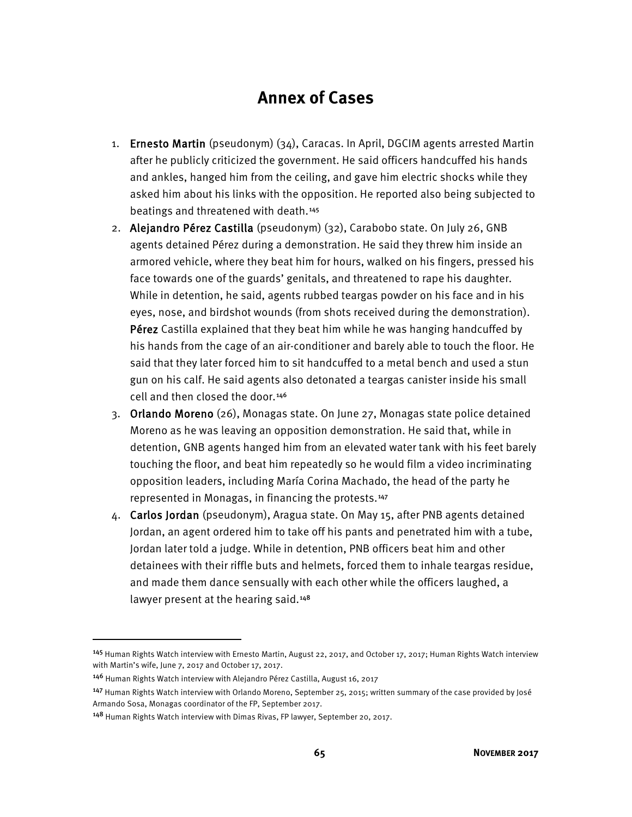## **Annex of Cases**

- 1. Ernesto Martin (pseudonym) (34), Caracas. In April, DGCIM agents arrested Martin after he publicly criticized the government. He said officers handcuffed his hands and ankles, hanged him from the ceiling, and gave him electric shocks while they asked him about his links with the opposition. He reported also being subjected to beatings and threatened with death.[145](#page-0-0)
- 2. Alejandro Pérez Castilla (pseudonym) (32), Carabobo state. On July 26, GNB agents detained Pérez during a demonstration. He said they threw him inside an armored vehicle, where they beat him for hours, walked on his fingers, pressed his face towards one of the guards' genitals, and threatened to rape his daughter. While in detention, he said, agents rubbed teargas powder on his face and in his eyes, nose, and birdshot wounds (from shots received during the demonstration). Pérez Castilla explained that they beat him while he was hanging handcuffed by his hands from the cage of an air-conditioner and barely able to touch the floor. He said that they later forced him to sit handcuffed to a metal bench and used a stun gun on his calf. He said agents also detonated a teargas canister inside his small cell and then closed the door.<sup>[146](#page-0-1)</sup>
- 3. Orlando Moreno (26), Monagas state. On June 27, Monagas state police detained Moreno as he was leaving an opposition demonstration. He said that, while in detention, GNB agents hanged him from an elevated water tank with his feet barely touching the floor, and beat him repeatedly so he would film a video incriminating opposition leaders, including María Corina Machado, the head of the party he represented in Monagas, in financing the protests.[147](#page-0-2)
- 4. Carlos Jordan (pseudonym), Aragua state. On May 15, after PNB agents detained Jordan, an agent ordered him to take off his pants and penetrated him with a tube, Jordan later told a judge. While in detention, PNB officers beat him and other detainees with their riffle buts and helmets, forced them to inhale teargas residue, and made them dance sensually with each other while the officers laughed, a lawyer present at the hearing said.<sup>[148](#page-0-3)</sup>

l

<span id="page-0-0"></span><sup>145</sup> Human Rights Watch interview with Ernesto Martin, August 22, 2017, and October 17, 2017; Human Rights Watch interview with Martin's wife, June 7, 2017 and October 17, 2017.

<span id="page-0-1"></span><sup>146</sup> Human Rights Watch interview with Alejandro Pérez Castilla, August 16, 2017

<span id="page-0-2"></span><sup>&</sup>lt;sup>147</sup> Human Rights Watch interview with Orlando Moreno, September 25, 2015; written summary of the case provided by José Armando Sosa, Monagas coordinator of the FP, September 2017.

<span id="page-0-3"></span><sup>148</sup> Human Rights Watch interview with Dimas Rivas, FP lawyer, September 20, 2017.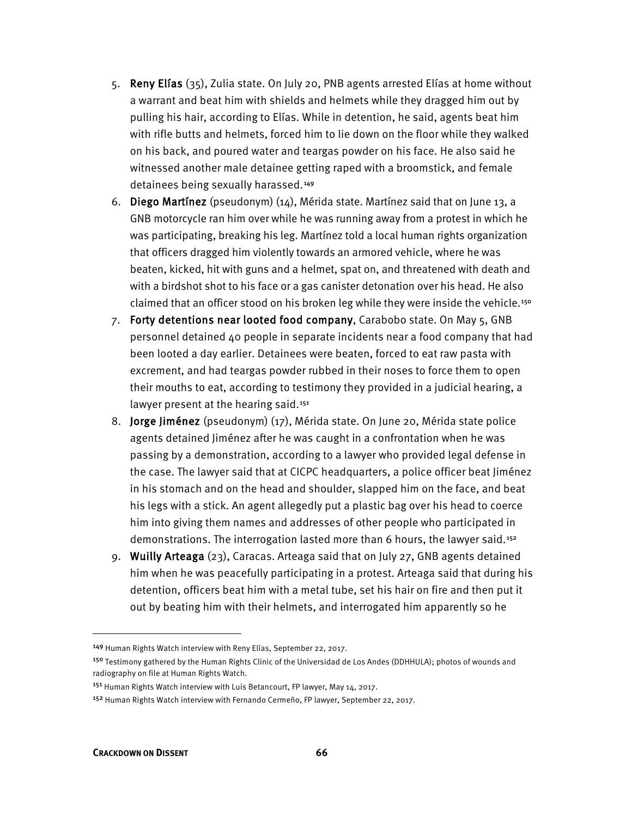- 5. Reny Elías (35), Zulia state. On July 20, PNB agents arrested Elías at home without a warrant and beat him with shields and helmets while they dragged him out by pulling his hair, according to Elías. While in detention, he said, agents beat him with rifle butts and helmets, forced him to lie down on the floor while they walked on his back, and poured water and teargas powder on his face. He also said he witnessed another male detainee getting raped with a broomstick, and female detainees being sexually harassed.[149](#page-1-0)
- 6. Diego Martínez (pseudonym) (14), Mérida state. Martínez said that on June 13, a GNB motorcycle ran him over while he was running away from a protest in which he was participating, breaking his leg. Martínez told a local human rights organization that officers dragged him violently towards an armored vehicle, where he was beaten, kicked, hit with guns and a helmet, spat on, and threatened with death and with a birdshot shot to his face or a gas canister detonation over his head. He also claimed that an officer stood on his broken leg while they were inside the vehicle.[150](#page-1-1)
- 7. Forty detentions near looted food company, Carabobo state. On May 5, GNB personnel detained 40 people in separate incidents near a food company that had been looted a day earlier. Detainees were beaten, forced to eat raw pasta with excrement, and had teargas powder rubbed in their noses to force them to open their mouths to eat, according to testimony they provided in a judicial hearing, a lawyer present at the hearing said.<sup>[151](#page-1-2)</sup>
- 8. Jorge Jiménez (pseudonym) (17), Mérida state. On June 20, Mérida state police agents detained Jiménez after he was caught in a confrontation when he was passing by a demonstration, according to a lawyer who provided legal defense in the case. The lawyer said that at CICPC headquarters, a police officer beat Jiménez in his stomach and on the head and shoulder, slapped him on the face, and beat his legs with a stick. An agent allegedly put a plastic bag over his head to coerce him into giving them names and addresses of other people who participated in demonstrations. The interrogation lasted more than 6 hours, the lawyer said.<sup>[152](#page-1-3)</sup>
- 9. Wuilly Arteaga (23), Caracas. Arteaga said that on July 27, GNB agents detained him when he was peacefully participating in a protest. Arteaga said that during his detention, officers beat him with a metal tube, set his hair on fire and then put it out by beating him with their helmets, and interrogated him apparently so he

<span id="page-1-1"></span><span id="page-1-0"></span><sup>149</sup> Human Rights Watch interview with Reny Elías, September 22, 2017.

<sup>&</sup>lt;sup>150</sup> Testimony gathered by the Human Rights Clinic of the Universidad de Los Andes (DDHHULA); photos of wounds and radiography on file at Human Rights Watch.

<span id="page-1-2"></span><sup>151</sup> Human Rights Watch interview with Luis Betancourt, FP lawyer, May 14, 2017.

<span id="page-1-3"></span><sup>&</sup>lt;sup>152</sup> Human Rights Watch interview with Fernando Cermeño, FP lawyer, September 22, 2017.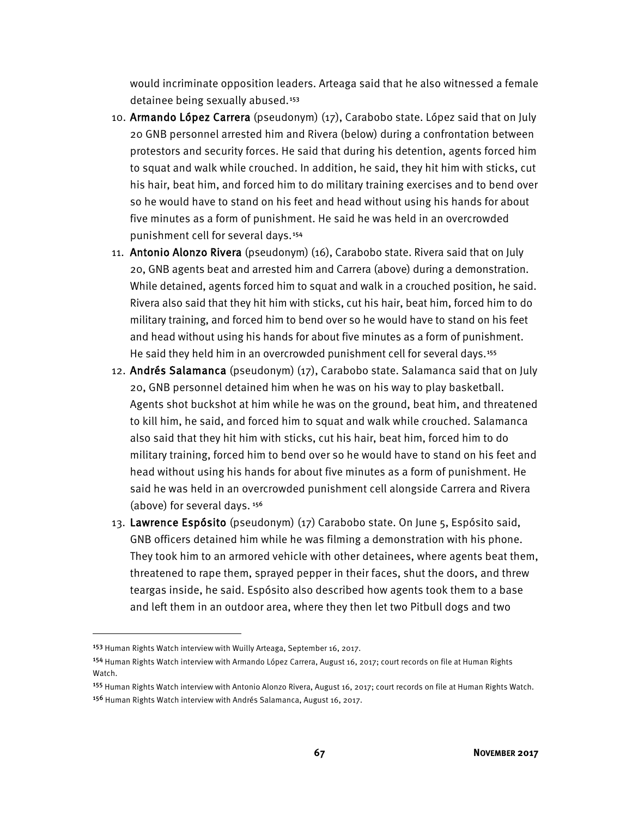would incriminate opposition leaders. Arteaga said that he also witnessed a female detainee being sexually abused.[153](#page-2-0)

- 10. Armando López Carrera (pseudonym) (17), Carabobo state. López said that on July 20 GNB personnel arrested him and Rivera (below) during a confrontation between protestors and security forces. He said that during his detention, agents forced him to squat and walk while crouched. In addition, he said, they hit him with sticks, cut his hair, beat him, and forced him to do military training exercises and to bend over so he would have to stand on his feet and head without using his hands for about five minutes as a form of punishment. He said he was held in an overcrowded punishment cell for several days.[154](#page-2-1)
- 11. Antonio Alonzo Rivera (pseudonym) (16), Carabobo state. Rivera said that on July 20, GNB agents beat and arrested him and Carrera (above) during a demonstration. While detained, agents forced him to squat and walk in a crouched position, he said. Rivera also said that they hit him with sticks, cut his hair, beat him, forced him to do military training, and forced him to bend over so he would have to stand on his feet and head without using his hands for about five minutes as a form of punishment. He said they held him in an overcrowded punishment cell for several days.<sup>[155](#page-2-2)</sup>
- 12. Andrés Salamanca (pseudonym) (17), Carabobo state. Salamanca said that on July 20, GNB personnel detained him when he was on his way to play basketball. Agents shot buckshot at him while he was on the ground, beat him, and threatened to kill him, he said, and forced him to squat and walk while crouched. Salamanca also said that they hit him with sticks, cut his hair, beat him, forced him to do military training, forced him to bend over so he would have to stand on his feet and head without using his hands for about five minutes as a form of punishment. He said he was held in an overcrowded punishment cell alongside Carrera and Rivera (above) for several days. [156](#page-2-3)
- 13. Lawrence Espósito (pseudonym) (17) Carabobo state. On June 5, Espósito said, GNB officers detained him while he was filming a demonstration with his phone. They took him to an armored vehicle with other detainees, where agents beat them, threatened to rape them, sprayed pepper in their faces, shut the doors, and threw teargas inside, he said. Espósito also described how agents took them to a base and left them in an outdoor area, where they then let two Pitbull dogs and two

<span id="page-2-0"></span><sup>153</sup> Human Rights Watch interview with Wuilly Arteaga, September 16, 2017.

<span id="page-2-1"></span><sup>154</sup> Human Rights Watch interview with Armando López Carrera, August 16, 2017; court records on file at Human Rights Watch.

<span id="page-2-3"></span><span id="page-2-2"></span><sup>155</sup> Human Rights Watch interview with Antonio Alonzo Rivera, August 16, 2017; court records on file at Human Rights Watch. <sup>156</sup> Human Rights Watch interview with Andrés Salamanca, August 16, 2017.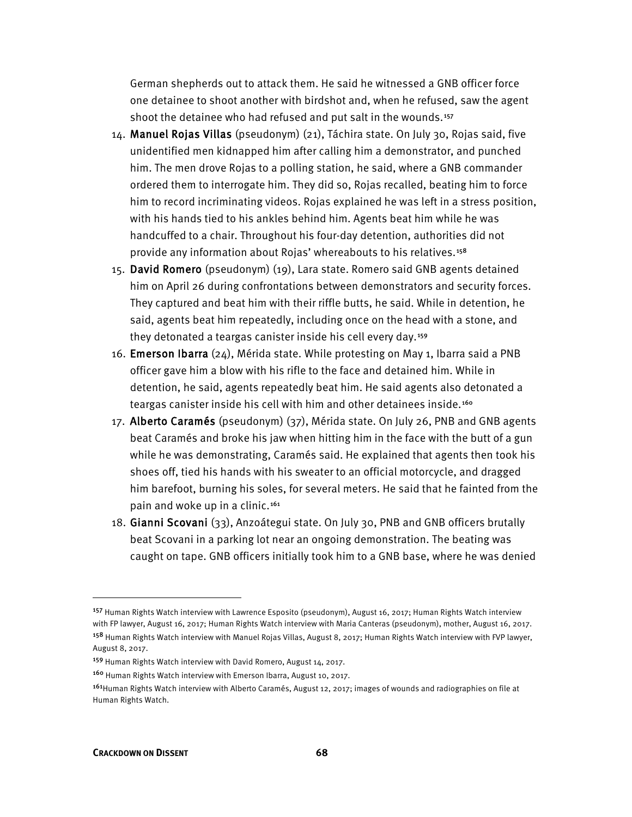German shepherds out to attack them. He said he witnessed a GNB officer force one detainee to shoot another with birdshot and, when he refused, saw the agent shoot the detainee who had refused and put salt in the wounds.<sup>[157](#page-3-0)</sup>

- 14. Manuel Rojas Villas (pseudonym) (21), Táchira state. On July 30, Rojas said, five unidentified men kidnapped him after calling him a demonstrator, and punched him. The men drove Rojas to a polling station, he said, where a GNB commander ordered them to interrogate him. They did so, Rojas recalled, beating him to force him to record incriminating videos. Rojas explained he was left in a stress position, with his hands tied to his ankles behind him. Agents beat him while he was handcuffed to a chair. Throughout his four-day detention, authorities did not provide any information about Rojas' whereabouts to his relatives.[158](#page-3-1)
- 15. David Romero (pseudonym) (19), Lara state. Romero said GNB agents detained him on April 26 during confrontations between demonstrators and security forces. They captured and beat him with their riffle butts, he said. While in detention, he said, agents beat him repeatedly, including once on the head with a stone, and they detonated a teargas canister inside his cell every day.[159](#page-3-2)
- 16. **Emerson Ibarra**  $(24)$ , Mérida state. While protesting on May 1, Ibarra said a PNB officer gave him a blow with his rifle to the face and detained him. While in detention, he said, agents repeatedly beat him. He said agents also detonated a teargas canister inside his cell with him and other detainees inside.<sup>[160](#page-3-3)</sup>
- 17. Alberto Caramés (pseudonym) (37), Mérida state. On July 26, PNB and GNB agents beat Caramés and broke his jaw when hitting him in the face with the butt of a gun while he was demonstrating, Caramés said. He explained that agents then took his shoes off, tied his hands with his sweater to an official motorcycle, and dragged him barefoot, burning his soles, for several meters. He said that he fainted from the pain and woke up in a clinic.<sup>[161](#page-3-4)</sup>
- 18. Gianni Scovani (33), Anzoátegui state. On July 30, PNB and GNB officers brutally beat Scovani in a parking lot near an ongoing demonstration. The beating was caught on tape. GNB officers initially took him to a GNB base, where he was denied

<span id="page-3-1"></span><span id="page-3-0"></span><sup>&</sup>lt;sup>157</sup> Human Rights Watch interview with Lawrence Esposito (pseudonym), August 16, 2017; Human Rights Watch interview with FP lawyer, August 16, 2017; Human Rights Watch interview with Maria Canteras (pseudonym), mother, August 16, 2017. <sup>158</sup> Human Rights Watch interview with Manuel Rojas Villas, August 8, 2017; Human Rights Watch interview with FVP lawyer, August 8, 2017.

<span id="page-3-2"></span><sup>159</sup> Human Rights Watch interview with David Romero, August 14, 2017.

<span id="page-3-3"></span><sup>160</sup> Human Rights Watch interview with Emerson Ibarra, August 10, 2017.

<span id="page-3-4"></span><sup>161</sup>Human Rights Watch interview with Alberto Caramés, August 12, 2017; images of wounds and radiographies on file at Human Rights Watch.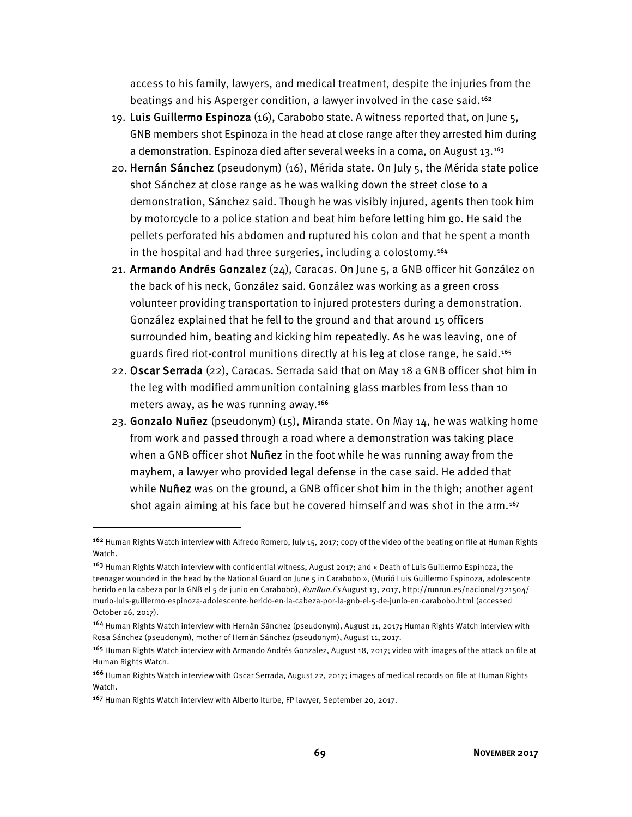access to his family, lawyers, and medical treatment, despite the injuries from the beatings and his Asperger condition, a lawyer involved in the case said.<sup>[162](#page-4-0)</sup>

- 19. Luis Guillermo Espinoza (16), Carabobo state. A witness reported that, on June 5, GNB members shot Espinoza in the head at close range after they arrested him during a demonstration. Espinoza died after several weeks in a coma, on August 13.<sup>[163](#page-4-1)</sup>
- 20. Hernán Sánchez (pseudonym) (16), Mérida state. On July 5, the Mérida state police shot Sánchez at close range as he was walking down the street close to a demonstration, Sánchez said. Though he was visibly injured, agents then took him by motorcycle to a police station and beat him before letting him go. He said the pellets perforated his abdomen and ruptured his colon and that he spent a month in the hospital and had three surgeries, including a colostomy.[164](#page-4-2)
- 21. Armando Andrés Gonzalez (24), Caracas. On June 5, a GNB officer hit González on the back of his neck, González said. González was working as a green cross volunteer providing transportation to injured protesters during a demonstration. González explained that he fell to the ground and that around 15 officers surrounded him, beating and kicking him repeatedly. As he was leaving, one of guards fired riot-control munitions directly at his leg at close range, he said.[165](#page-4-3)
- 22. Oscar Serrada (22), Caracas. Serrada said that on May 18 a GNB officer shot him in the leg with modified ammunition containing glass marbles from less than 10 meters away, as he was running away.[166](#page-4-4)
- 23. Gonzalo Nuñez (pseudonym) (15), Miranda state. On May 14, he was walking home from work and passed through a road where a demonstration was taking place when a GNB officer shot **Nuñez** in the foot while he was running away from the mayhem, a lawyer who provided legal defense in the case said. He added that while **Nuñez** was on the ground, a GNB officer shot him in the thigh; another agent shot again aiming at his face but he covered himself and was shot in the arm.<sup>[167](#page-4-5)</sup>

<span id="page-4-0"></span><sup>&</sup>lt;sup>162</sup> Human Rights Watch interview with Alfredo Romero, July 15, 2017; copy of the video of the beating on file at Human Rights Watch.

<span id="page-4-1"></span><sup>163</sup> Human Rights Watch interview with confidential witness, August 2017; and « Death of Luis Guillermo Espinoza, the teenager wounded in the head by the National Guard on June 5 in Carabobo », (Murió Luis Guillermo Espinoza, adolescente herido en la cabeza por la GNB el 5 de junio en Carabobo), RunRun.Es August 13, 2017, http://runrun.es/nacional/321504/ murio-luis-guillermo-espinoza-adolescente-herido-en-la-cabeza-por-la-gnb-el-5-de-junio-en-carabobo.html (accessed October 26, 2017).

<span id="page-4-2"></span><sup>164</sup> Human Rights Watch interview with Hernán Sánchez (pseudonym), August 11, 2017; Human Rights Watch interview with Rosa Sánchez (pseudonym), mother of Hernán Sánchez (pseudonym), August 11, 2017.

<span id="page-4-3"></span><sup>165</sup> Human Rights Watch interview with Armando Andrés Gonzalez, August 18, 2017; video with images of the attack on file at Human Rights Watch.

<span id="page-4-4"></span><sup>166</sup> Human Rights Watch interview with Oscar Serrada, August 22, 2017; images of medical records on file at Human Rights **Watch** 

<span id="page-4-5"></span><sup>&</sup>lt;sup>167</sup> Human Rights Watch interview with Alberto Iturbe, FP lawyer, September 20, 2017.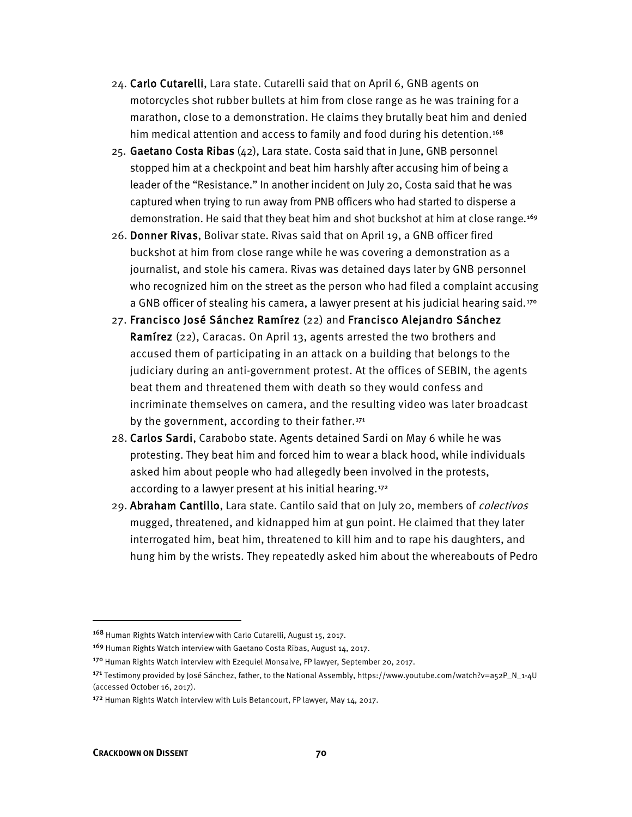- 24. Carlo Cutarelli, Lara state. Cutarelli said that on April 6, GNB agents on motorcycles shot rubber bullets at him from close range as he was training for a marathon, close to a demonstration. He claims they brutally beat him and denied him medical attention and access to family and food during his detention.<sup>[168](#page-5-0)</sup>
- 25. Gaetano Costa Ribas (42), Lara state. Costa said that in June, GNB personnel stopped him at a checkpoint and beat him harshly after accusing him of being a leader of the "Resistance." In another incident on July 20, Costa said that he was captured when trying to run away from PNB officers who had started to disperse a demonstration. He said that they beat him and shot buckshot at him at close range.[169](#page-5-1)
- 26. Donner Rivas, Bolivar state. Rivas said that on April 19, a GNB officer fired buckshot at him from close range while he was covering a demonstration as a journalist, and stole his camera. Rivas was detained days later by GNB personnel who recognized him on the street as the person who had filed a complaint accusing a GNB officer of stealing his camera, a lawyer present at his judicial hearing said.<sup>[170](#page-5-2)</sup>
- 27. Francisco José Sánchez Ramírez (22) and Francisco Alejandro Sánchez Ramírez (22), Caracas. On April 13, agents arrested the two brothers and accused them of participating in an attack on a building that belongs to the judiciary during an anti-government protest. At the offices of SEBIN, the agents beat them and threatened them with death so they would confess and incriminate themselves on camera, and the resulting video was later broadcast by the government, according to their father. $171$
- 28. Carlos Sardi, Carabobo state. Agents detained Sardi on May 6 while he was protesting. They beat him and forced him to wear a black hood, while individuals asked him about people who had allegedly been involved in the protests, according to a lawyer present at his initial hearing.<sup>[172](#page-5-4)</sup>
- 29. Abraham Cantillo, Lara state. Cantilo said that on July 20, members of colectivos mugged, threatened, and kidnapped him at gun point. He claimed that they later interrogated him, beat him, threatened to kill him and to rape his daughters, and hung him by the wrists. They repeatedly asked him about the whereabouts of Pedro

<span id="page-5-0"></span><sup>168</sup> Human Rights Watch interview with Carlo Cutarelli, August 15, 2017.

<span id="page-5-1"></span><sup>169</sup> Human Rights Watch interview with Gaetano Costa Ribas, August 14, 2017.

<span id="page-5-2"></span><sup>170</sup> Human Rights Watch interview with Ezequiel Monsalve, FP lawyer, September 20, 2017.

<span id="page-5-3"></span><sup>&</sup>lt;sup>171</sup> Testimony provided by José Sánchez, father, to the National Assembly, https://www.youtube.com/watch?v=a52P\_N\_1-4U (accessed October 16, 2017).

<span id="page-5-4"></span><sup>172</sup> Human Rights Watch interview with Luis Betancourt, FP lawyer, May 14, 2017.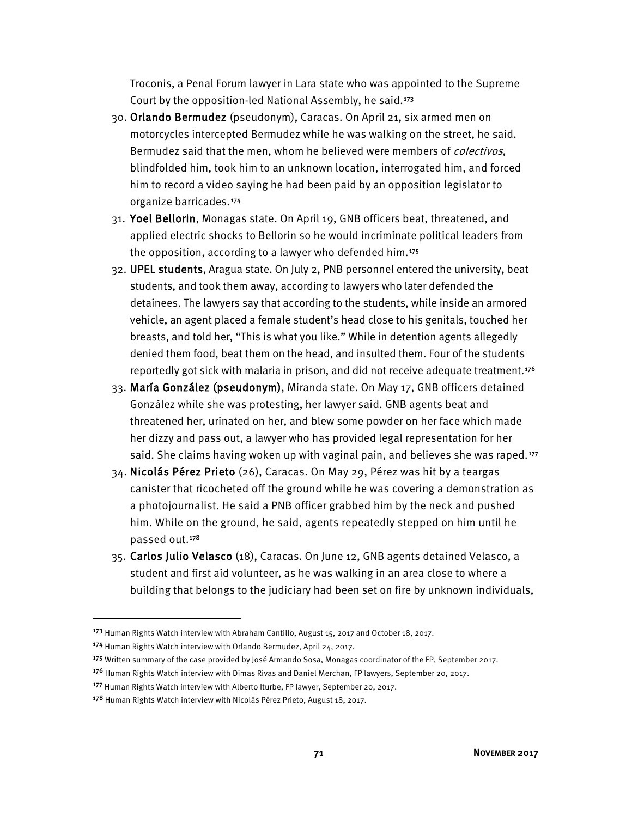Troconis, a Penal Forum lawyer in Lara state who was appointed to the Supreme Court by the opposition-led National Assembly, he said.[173](#page-6-0)

- 30. Orlando Bermudez (pseudonym), Caracas. On April 21, six armed men on motorcycles intercepted Bermudez while he was walking on the street, he said. Bermudez said that the men, whom he believed were members of *colectivos*, blindfolded him, took him to an unknown location, interrogated him, and forced him to record a video saying he had been paid by an opposition legislator to organize barricades.[174](#page-6-1)
- 31. Yoel Bellorin, Monagas state. On April 19, GNB officers beat, threatened, and applied electric shocks to Bellorin so he would incriminate political leaders from the opposition, according to a lawyer who defended him.[175](#page-6-2)
- 32. UPEL students, Aragua state. On July 2, PNB personnel entered the university, beat students, and took them away, according to lawyers who later defended the detainees. The lawyers say that according to the students, while inside an armored vehicle, an agent placed a female student's head close to his genitals, touched her breasts, and told her, "This is what you like." While in detention agents allegedly denied them food, beat them on the head, and insulted them. Four of the students reportedly got sick with malaria in prison, and did not receive adequate treatment. $176$
- 33. María González (pseudonym), Miranda state. On May 17, GNB officers detained González while she was protesting, her lawyer said. GNB agents beat and threatened her, urinated on her, and blew some powder on her face which made her dizzy and pass out, a lawyer who has provided legal representation for her said. She claims having woken up with vaginal pain, and believes she was raped.[177](#page-6-4)
- 34. Nicolás Pérez Prieto (26), Caracas. On May 29, Pérez was hit by a teargas canister that ricocheted off the ground while he was covering a demonstration as a photojournalist. He said a PNB officer grabbed him by the neck and pushed him. While on the ground, he said, agents repeatedly stepped on him until he passed out.[178](#page-6-5)
- 35. Carlos Julio Velasco (18), Caracas. On June 12, GNB agents detained Velasco, a student and first aid volunteer, as he was walking in an area close to where a building that belongs to the judiciary had been set on fire by unknown individuals,

<span id="page-6-0"></span><sup>173</sup> Human Rights Watch interview with Abraham Cantillo, August 15, 2017 and October 18, 2017.

<span id="page-6-1"></span><sup>174</sup> Human Rights Watch interview with Orlando Bermudez, April 24, 2017.

<span id="page-6-2"></span><sup>&</sup>lt;sup>175</sup> Written summary of the case provided by José Armando Sosa, Monagas coordinator of the FP, September 2017.

<span id="page-6-3"></span><sup>176</sup> Human Rights Watch interview with Dimas Rivas and Daniel Merchan, FP lawyers, September 20, 2017.

<span id="page-6-4"></span><sup>177</sup> Human Rights Watch interview with Alberto Iturbe, FP lawyer, September 20, 2017.

<span id="page-6-5"></span><sup>178</sup> Human Rights Watch interview with Nicolás Pérez Prieto, August 18, 2017.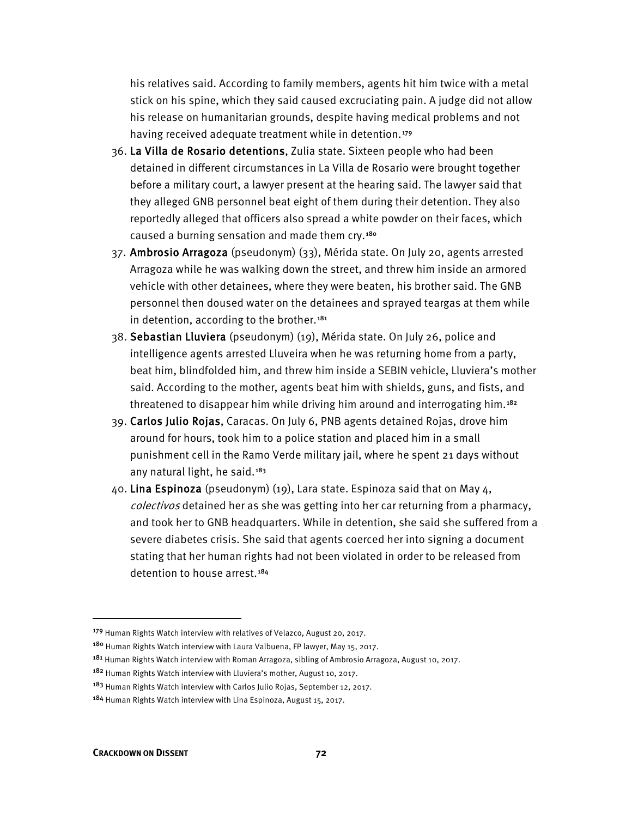his relatives said. According to family members, agents hit him twice with a metal stick on his spine, which they said caused excruciating pain. A judge did not allow his release on humanitarian grounds, despite having medical problems and not having received adequate treatment while in detention.<sup>[179](#page-7-0)</sup>

- 36. La Villa de Rosario detentions, Zulia state. Sixteen people who had been detained in different circumstances in La Villa de Rosario were brought together before a military court, a lawyer present at the hearing said. The lawyer said that they alleged GNB personnel beat eight of them during their detention. They also reportedly alleged that officers also spread a white powder on their faces, which caused a burning sensation and made them cry.[180](#page-7-1)
- 37. Ambrosio Arragoza (pseudonym) (33), Mérida state. On July 20, agents arrested Arragoza while he was walking down the street, and threw him inside an armored vehicle with other detainees, where they were beaten, his brother said. The GNB personnel then doused water on the detainees and sprayed teargas at them while in detention, according to the brother.<sup>[181](#page-7-2)</sup>
- 38. Sebastian Lluviera (pseudonym) (19), Mérida state. On July 26, police and intelligence agents arrested Lluveira when he was returning home from a party, beat him, blindfolded him, and threw him inside a SEBIN vehicle, Lluviera's mother said. According to the mother, agents beat him with shields, guns, and fists, and threatened to disappear him while driving him around and interrogating him.<sup>[182](#page-7-3)</sup>
- 39. Carlos Julio Rojas, Caracas. On July 6, PNB agents detained Rojas, drove him around for hours, took him to a police station and placed him in a small punishment cell in the Ramo Verde military jail, where he spent 21 days without any natural light, he said.[183](#page-7-4)
- 40. Lina Espinoza (pseudonym) (19), Lara state. Espinoza said that on May 4, colectivos detained her as she was getting into her car returning from a pharmacy, and took her to GNB headquarters. While in detention, she said she suffered from a severe diabetes crisis. She said that agents coerced her into signing a document stating that her human rights had not been violated in order to be released from detention to house arrest.<sup>[184](#page-7-5)</sup>

<span id="page-7-0"></span><sup>&</sup>lt;sup>179</sup> Human Rights Watch interview with relatives of Velazco, August 20, 2017.

<span id="page-7-1"></span><sup>180</sup> Human Rights Watch interview with Laura Valbuena, FP lawyer, May 15, 2017.

<span id="page-7-2"></span><sup>181</sup> Human Rights Watch interview with Roman Arragoza, sibling of Ambrosio Arragoza, August 10, 2017.

<span id="page-7-3"></span><sup>182</sup> Human Rights Watch interview with Lluviera's mother, August 10, 2017.

<span id="page-7-4"></span><sup>&</sup>lt;sup>183</sup> Human Rights Watch interview with Carlos Julio Rojas, September 12, 2017.

<span id="page-7-5"></span><sup>184</sup> Human Rights Watch interview with Lina Espinoza, August 15, 2017.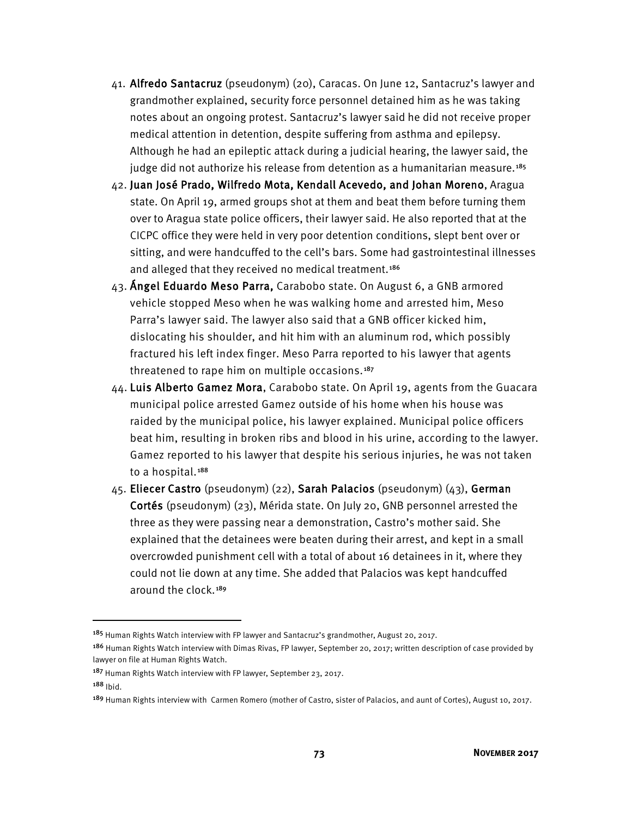- 41. Alfredo Santacruz (pseudonym) (20), Caracas. On June 12, Santacruz's lawyer and grandmother explained, security force personnel detained him as he was taking notes about an ongoing protest. Santacruz's lawyer said he did not receive proper medical attention in detention, despite suffering from asthma and epilepsy. Although he had an epileptic attack during a judicial hearing, the lawyer said, the judge did not authorize his release from detention as a humanitarian measure.<sup>[185](#page-8-0)</sup>
- 42. Juan José Prado, Wilfredo Mota, Kendall Acevedo, and Johan Moreno, Aragua state. On April 19, armed groups shot at them and beat them before turning them over to Aragua state police officers, their lawyer said. He also reported that at the CICPC office they were held in very poor detention conditions, slept bent over or sitting, and were handcuffed to the cell's bars. Some had gastrointestinal illnesses and alleged that they received no medical treatment.<sup>[186](#page-8-1)</sup>
- 43. Ángel Eduardo Meso Parra, Carabobo state. On August 6, a GNB armored vehicle stopped Meso when he was walking home and arrested him, Meso Parra's lawyer said. The lawyer also said that a GNB officer kicked him, dislocating his shoulder, and hit him with an aluminum rod, which possibly fractured his left index finger. Meso Parra reported to his lawyer that agents threatened to rape him on multiple occasions.<sup>[187](#page-8-2)</sup>
- 44. Luis Alberto Gamez Mora, Carabobo state. On April 19, agents from the Guacara municipal police arrested Gamez outside of his home when his house was raided by the municipal police, his lawyer explained. Municipal police officers beat him, resulting in broken ribs and blood in his urine, according to the lawyer. Gamez reported to his lawyer that despite his serious injuries, he was not taken to a hospital.<sup>[188](#page-8-3)</sup>
- 45. Eliecer Castro (pseudonym) (22), Sarah Palacios (pseudonym) (43), German Cortés (pseudonym) (23), Mérida state. On July 20, GNB personnel arrested the three as they were passing near a demonstration, Castro's mother said. She explained that the detainees were beaten during their arrest, and kept in a small overcrowded punishment cell with a total of about 16 detainees in it, where they could not lie down at any time. She added that Palacios was kept handcuffed around the clock.[189](#page-8-4)

<span id="page-8-3"></span><sup>188</sup> Ibid.

<span id="page-8-0"></span><sup>&</sup>lt;sup>185</sup> Human Rights Watch interview with FP lawyer and Santacruz's grandmother, August 20, 2017.

<span id="page-8-1"></span><sup>186</sup> Human Rights Watch interview with Dimas Rivas, FP lawyer, September 20, 2017; written description of case provided by lawyer on file at Human Rights Watch.

<span id="page-8-2"></span><sup>187</sup> Human Rights Watch interview with FP lawyer, September 23, 2017.

<span id="page-8-4"></span><sup>189</sup> Human Rights interview with Carmen Romero (mother of Castro, sister of Palacios, and aunt of Cortes), August 10, 2017.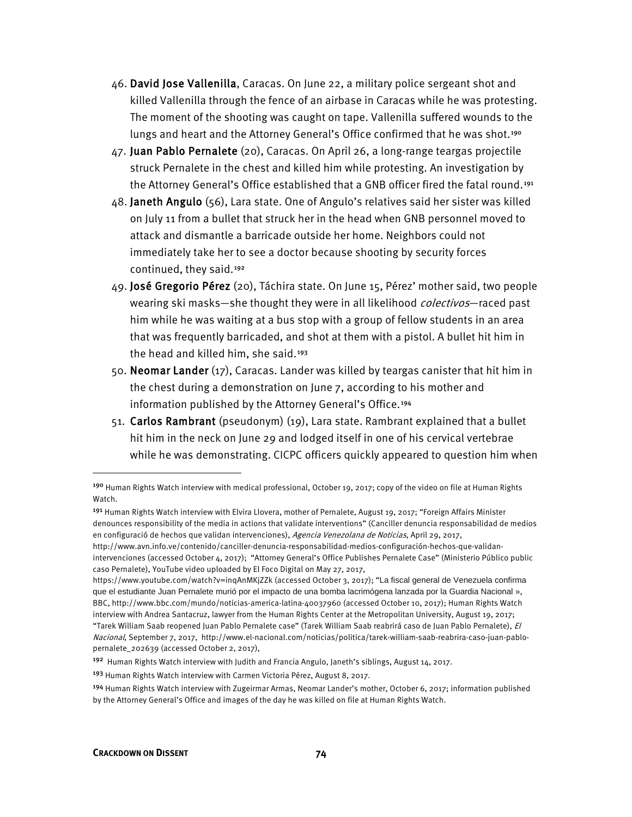- 46. David Jose Vallenilla, Caracas. On June 22, a military police sergeant shot and killed Vallenilla through the fence of an airbase in Caracas while he was protesting. The moment of the shooting was caught on tape. Vallenilla suffered wounds to the lungs and heart and the Attorney General's Office confirmed that he was shot.<sup>[190](#page-9-0)</sup>
- 47. Juan Pablo Pernalete (20), Caracas. On April 26, a long-range teargas projectile struck Pernalete in the chest and killed him while protesting. An investigation by the Attorney General's Office established that a GNB officer fired the fatal round.<sup>[191](#page-9-1)</sup>
- 48. Janeth Angulo (56), Lara state. One of Angulo's relatives said her sister was killed on July 11 from a bullet that struck her in the head when GNB personnel moved to attack and dismantle a barricade outside her home. Neighbors could not immediately take her to see a doctor because shooting by security forces continued, they said.<sup>[192](#page-9-2)</sup>
- 49. José Gregorio Pérez (20), Táchira state. On June 15, Pérez' mother said, two people wearing ski masks—she thought they were in all likelihood *colectivos*—raced past him while he was waiting at a bus stop with a group of fellow students in an area that was frequently barricaded, and shot at them with a pistol. A bullet hit him in the head and killed him, she said.<sup>[193](#page-9-3)</sup>
- 50. Neomar Lander (17), Caracas. Lander was killed by teargas canister that hit him in the chest during a demonstration on June 7, according to his mother and information published by the Attorney General's Office.<sup>[194](#page-9-4)</sup>
- 51. Carlos Rambrant (pseudonym) (19), Lara state. Rambrant explained that a bullet hit him in the neck on June 29 and lodged itself in one of his cervical vertebrae while he was demonstrating. CICPC officers quickly appeared to question him when

<span id="page-9-1"></span>191 Human Rights Watch interview with Elvira Llovera, mother of Pernalete, August 19, 2017; "Foreign Affairs Minister denounces responsibility of the media in actions that validate interventions" (Canciller denuncia responsabilidad de medios en configuració de hechos que validan intervenciones), Agencia Venezolana de Noticias, April 29, 2017,

http://www.avn.info.ve/contenido/canciller-denuncia-responsabilidad-medios-configuración-hechos-que-validanintervenciones (accessed October 4, 2017); "Attorney General's Office Publishes Pernalete Case" (Ministerio Público public caso Pernalete), YouTube video uploaded by El Foco Digital on May 27, 2017,

<span id="page-9-0"></span><sup>190</sup> Human Rights Watch interview with medical professional, October 19, 2017; copy of the video on file at Human Rights Watch.

https://www.youtube.com/watch?v=inqAnMKjZZk (accessed October 3, 2017); "La fiscal general de Venezuela confirma que el estudiante Juan Pernalete murió por el impacto de una bomba lacrimógena lanzada por la Guardia Nacional », BBC, http://www.bbc.com/mundo/noticias-america-latina-40037960 (accessed October 10, 2017); Human Rights Watch interview with Andrea Santacruz, lawyer from the Human Rights Center at the Metropolitan University, August 19, 2017; "Tarek William Saab reopened Juan Pablo Pernalete case" (Tarek William Saab reabrirá caso de Juan Pablo Pernalete), El Nacional, September 7, 2017, http://www.el-nacional.com/noticias/politica/tarek-william-saab-reabrira-caso-juan-pablopernalete\_202639 (accessed October 2, 2017),

<span id="page-9-2"></span><sup>192</sup> Human Rights Watch interview with Judith and Francia Angulo, Janeth's siblings, August 14, 2017.

<span id="page-9-3"></span><sup>193</sup> Human Rights Watch interview with Carmen Victoria Pérez, August 8, 2017.

<span id="page-9-4"></span><sup>194</sup> Human Rights Watch interview with Zugeirmar Armas, Neomar Lander's mother, October 6, 2017; information published by the Attorney General's Office and images of the day he was killed on file at Human Rights Watch.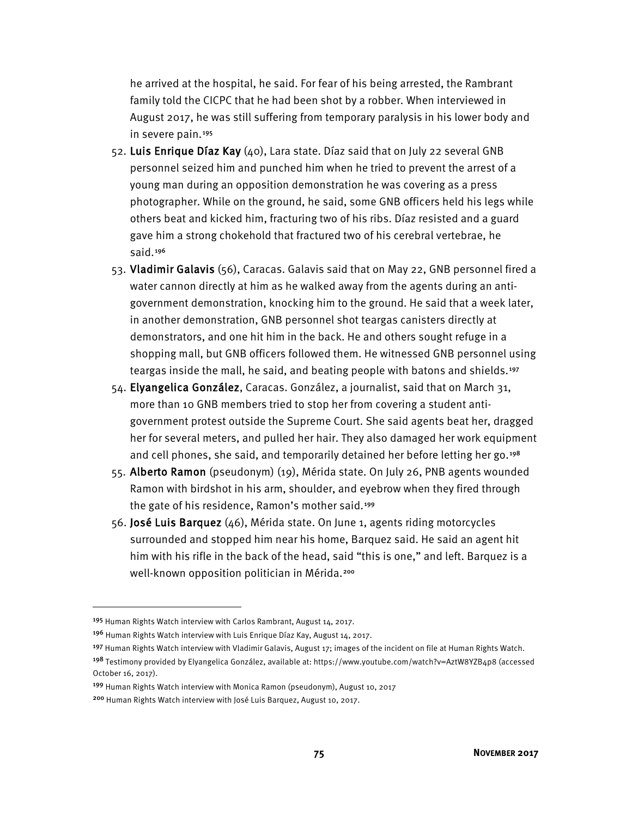he arrived at the hospital, he said. For fear of his being arrested, the Rambrant family told the CICPC that he had been shot by a robber. When interviewed in August 2017, he was still suffering from temporary paralysis in his lower body and in severe pain.<sup>[195](#page-10-0)</sup>

- 52. Luis Enrique Díaz Kay (40), Lara state. Díaz said that on July 22 several GNB personnel seized him and punched him when he tried to prevent the arrest of a young man during an opposition demonstration he was covering as a press photographer. While on the ground, he said, some GNB officers held his legs while others beat and kicked him, fracturing two of his ribs. Díaz resisted and a guard gave him a strong chokehold that fractured two of his cerebral vertebrae, he said.<sup>[196](#page-10-1)</sup>
- 53. Vladimir Galavis (56), Caracas. Galavis said that on May 22, GNB personnel fired a water cannon directly at him as he walked away from the agents during an antigovernment demonstration, knocking him to the ground. He said that a week later, in another demonstration, GNB personnel shot teargas canisters directly at demonstrators, and one hit him in the back. He and others sought refuge in a shopping mall, but GNB officers followed them. He witnessed GNB personnel using teargas inside the mall, he said, and beating people with batons and shields.<sup>[197](#page-10-2)</sup>
- 54. Elyangelica González, Caracas. González, a journalist, said that on March 31, more than 10 GNB members tried to stop her from covering a student antigovernment protest outside the Supreme Court. She said agents beat her, dragged her for several meters, and pulled her hair. They also damaged her work equipment and cell phones, she said, and temporarily detained her before letting her go.<sup>[198](#page-10-3)</sup>
- 55. Alberto Ramon (pseudonym) (19), Mérida state. On July 26, PNB agents wounded Ramon with birdshot in his arm, shoulder, and eyebrow when they fired through the gate of his residence, Ramon's mother said.<sup>[199](#page-10-4)</sup>
- 56. José Luis Barquez (46), Mérida state. On June 1, agents riding motorcycles surrounded and stopped him near his home, Barquez said. He said an agent hit him with his rifle in the back of the head, said "this is one," and left. Barquez is a well-known opposition politician in Mérida.<sup>[200](#page-10-5)</sup>

<span id="page-10-0"></span><sup>195</sup> Human Rights Watch interview with Carlos Rambrant, August 14, 2017.

<span id="page-10-1"></span><sup>196</sup> Human Rights Watch interview with Luis Enrique Díaz Kay, August 14, 2017.

<span id="page-10-3"></span><span id="page-10-2"></span><sup>197</sup> Human Rights Watch interview with Vladimir Galavis, August 17; images of the incident on file at Human Rights Watch. <sup>198</sup> Testimony provided by Elyangelica González, available at: https://www.youtube.com/watch?v=AztW8YZB4p8 (accessed October 16, 2017).

<span id="page-10-4"></span><sup>199</sup> Human Rights Watch interview with Monica Ramon (pseudonym), August 10, 2017

<span id="page-10-5"></span><sup>200</sup> Human Rights Watch interview with José Luis Barquez, August 10, 2017.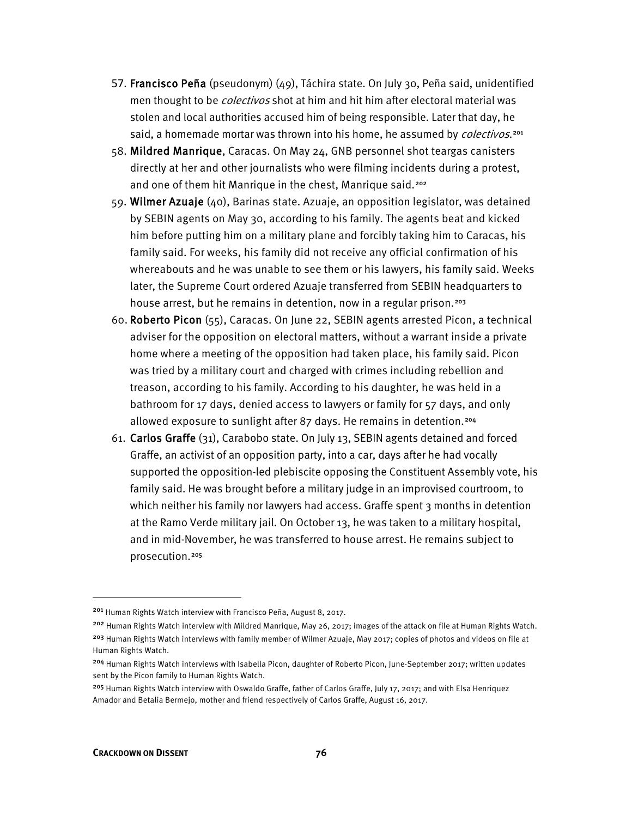- 57. Francisco Peña (pseudonym) (49), Táchira state. On July 30, Peña said, unidentified men thought to be *colectivos* shot at him and hit him after electoral material was stolen and local authorities accused him of being responsible. Later that day, he said, a homemade mortar was thrown into his home, he assumed by *colectivos*.<sup>[201](#page-11-0)</sup>
- 58. Mildred Manrique, Caracas. On May 24, GNB personnel shot teargas canisters directly at her and other journalists who were filming incidents during a protest, and one of them hit Manrique in the chest, Manrique said.<sup>[202](#page-11-1)</sup>
- 59. Wilmer Azuaje (40), Barinas state. Azuaje, an opposition legislator, was detained by SEBIN agents on May 30, according to his family. The agents beat and kicked him before putting him on a military plane and forcibly taking him to Caracas, his family said. For weeks, his family did not receive any official confirmation of his whereabouts and he was unable to see them or his lawyers, his family said. Weeks later, the Supreme Court ordered Azuaje transferred from SEBIN headquarters to house arrest, but he remains in detention, now in a regular prison.<sup>[203](#page-11-2)</sup>
- 60. Roberto Picon (55), Caracas. On June 22, SEBIN agents arrested Picon, a technical adviser for the opposition on electoral matters, without a warrant inside a private home where a meeting of the opposition had taken place, his family said. Picon was tried by a military court and charged with crimes including rebellion and treason, according to his family. According to his daughter, he was held in a bathroom for 17 days, denied access to lawyers or family for 57 days, and only allowed exposure to sunlight after 87 days. He remains in detention.<sup>[204](#page-11-3)</sup>
- 61. Carlos Graffe (31), Carabobo state. On July 13, SEBIN agents detained and forced Graffe, an activist of an opposition party, into a car, days after he had vocally supported the opposition-led plebiscite opposing the Constituent Assembly vote, his family said. He was brought before a military judge in an improvised courtroom, to which neither his family nor lawyers had access. Graffe spent 3 months in detention at the Ramo Verde military jail. On October 13, he was taken to a military hospital, and in mid-November, he was transferred to house arrest. He remains subject to prosecution.[205](#page-11-4)

<span id="page-11-0"></span><sup>201</sup> Human Rights Watch interview with Francisco Peña, August 8, 2017.

<span id="page-11-2"></span><span id="page-11-1"></span><sup>&</sup>lt;sup>202</sup> Human Rights Watch interview with Mildred Manrique, May 26, 2017; images of the attack on file at Human Rights Watch. <sup>203</sup> Human Rights Watch interviews with family member of Wilmer Azuaje, May 2017; copies of photos and videos on file at Human Rights Watch.

<span id="page-11-3"></span><sup>204</sup> Human Rights Watch interviews with Isabella Picon, daughter of Roberto Picon, June-September 2017; written updates sent by the Picon family to Human Rights Watch.

<span id="page-11-4"></span><sup>&</sup>lt;sup>205</sup> Human Rights Watch interview with Oswaldo Graffe, father of Carlos Graffe, July 17, 2017; and with Elsa Henriquez Amador and Betalia Bermejo, mother and friend respectively of Carlos Graffe, August 16, 2017.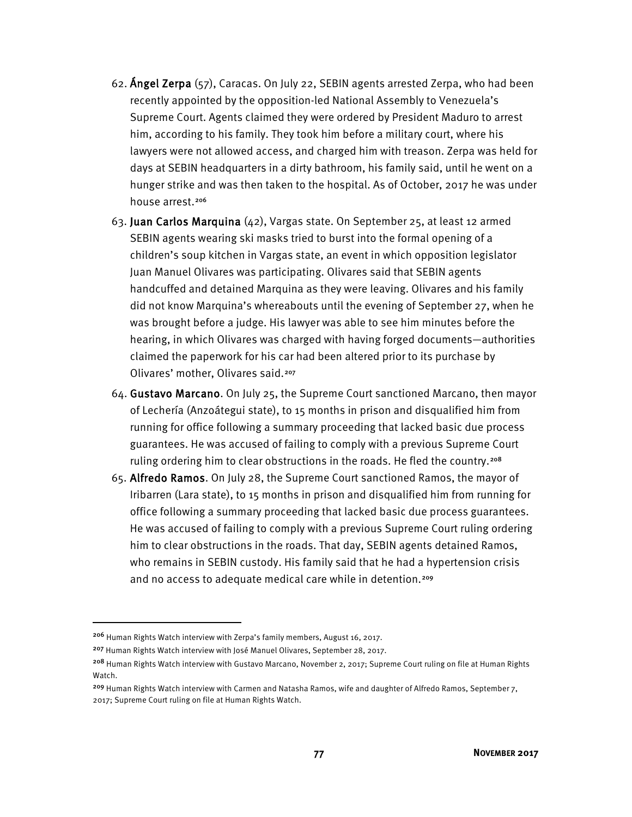- 62. Ángel Zerpa (57), Caracas. On July 22, SEBIN agents arrested Zerpa, who had been recently appointed by the opposition-led National Assembly to Venezuela's Supreme Court. Agents claimed they were ordered by President Maduro to arrest him, according to his family. They took him before a military court, where his lawyers were not allowed access, and charged him with treason. Zerpa was held for days at SEBIN headquarters in a dirty bathroom, his family said, until he went on a hunger strike and was then taken to the hospital. As of October, 2017 he was under house arrest.<sup>[206](#page-12-0)</sup>
- 63. Juan Carlos Marquina (42), Vargas state. On September 25, at least 12 armed SEBIN agents wearing ski masks tried to burst into the formal opening of a children's soup kitchen in Vargas state, an event in which opposition legislator Juan Manuel Olivares was participating. Olivares said that SEBIN agents handcuffed and detained Marquina as they were leaving. Olivares and his family did not know Marquina's whereabouts until the evening of September 27, when he was brought before a judge. His lawyer was able to see him minutes before the hearing, in which Olivares was charged with having forged documents—authorities claimed the paperwork for his car had been altered prior to its purchase by Olivares' mother, Olivares said.[207](#page-12-1)
- 64. Gustavo Marcano. On July 25, the Supreme Court sanctioned Marcano, then mayor of Lechería (Anzoátegui state), to 15 months in prison and disqualified him from running for office following a summary proceeding that lacked basic due process guarantees. He was accused of failing to comply with a previous Supreme Court ruling ordering him to clear obstructions in the roads. He fled the country.<sup>[208](#page-12-2)</sup>
- 65. Alfredo Ramos. On July 28, the Supreme Court sanctioned Ramos, the mayor of Iribarren (Lara state), to 15 months in prison and disqualified him from running for office following a summary proceeding that lacked basic due process guarantees. He was accused of failing to comply with a previous Supreme Court ruling ordering him to clear obstructions in the roads. That day, SEBIN agents detained Ramos, who remains in SEBIN custody. His family said that he had a hypertension crisis and no access to adequate medical care while in detention.<sup>[209](#page-12-3)</sup>

<span id="page-12-0"></span><sup>206</sup> Human Rights Watch interview with Zerpa's family members, August 16, 2017.

<span id="page-12-1"></span><sup>207</sup> Human Rights Watch interview with José Manuel Olivares, September 28, 2017.

<span id="page-12-2"></span><sup>208</sup> Human Rights Watch interview with Gustavo Marcano, November 2, 2017; Supreme Court ruling on file at Human Rights Watch.

<span id="page-12-3"></span><sup>&</sup>lt;sup>209</sup> Human Rights Watch interview with Carmen and Natasha Ramos, wife and daughter of Alfredo Ramos, September 7, 2017; Supreme Court ruling on file at Human Rights Watch.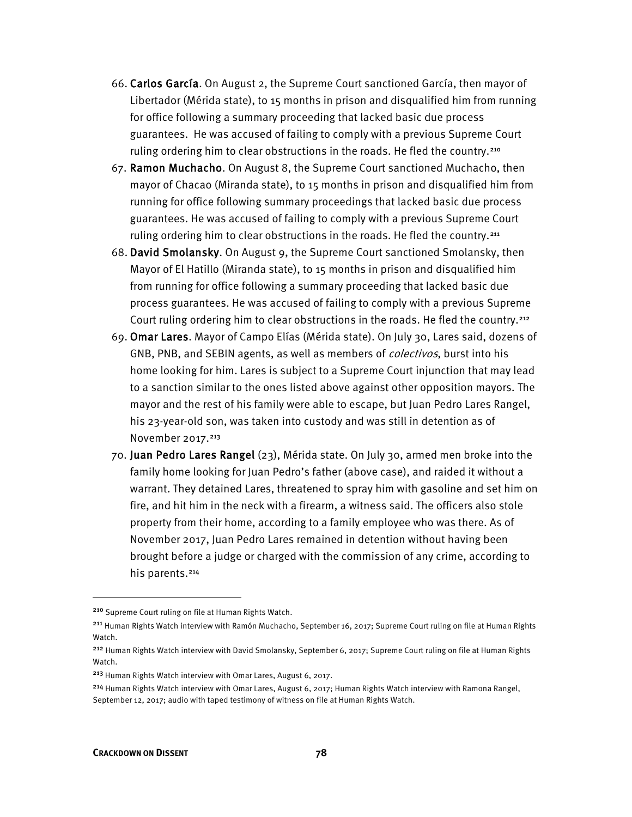- 66. Carlos García. On August 2, the Supreme Court sanctioned García, then mayor of Libertador (Mérida state), to 15 months in prison and disqualified him from running for office following a summary proceeding that lacked basic due process guarantees. He was accused of failing to comply with a previous Supreme Court ruling ordering him to clear obstructions in the roads. He fled the country.<sup>[210](#page-13-0)</sup>
- 67. Ramon Muchacho. On August 8, the Supreme Court sanctioned Muchacho, then mayor of Chacao (Miranda state), to 15 months in prison and disqualified him from running for office following summary proceedings that lacked basic due process guarantees. He was accused of failing to comply with a previous Supreme Court ruling ordering him to clear obstructions in the roads. He fled the country.<sup>[211](#page-13-1)</sup>
- 68. David Smolansky. On August 9, the Supreme Court sanctioned Smolansky, then Mayor of El Hatillo (Miranda state), to 15 months in prison and disqualified him from running for office following a summary proceeding that lacked basic due process guarantees. He was accused of failing to comply with a previous Supreme Court ruling ordering him to clear obstructions in the roads. He fled the country.[212](#page-13-2)
- 69. Omar Lares. Mayor of Campo Elías (Mérida state). On July 30, Lares said, dozens of GNB, PNB, and SEBIN agents, as well as members of *colectivos*, burst into his home looking for him. Lares is subject to a Supreme Court injunction that may lead to a sanction similar to the ones listed above against other opposition mayors. The mayor and the rest of his family were able to escape, but Juan Pedro Lares Rangel, his 23-year-old son, was taken into custody and was still in detention as of November 2017.<sup>[213](#page-13-3)</sup>
- 70. Juan Pedro Lares Rangel (23), Mérida state. On July 30, armed men broke into the family home looking for Juan Pedro's father (above case), and raided it without a warrant. They detained Lares, threatened to spray him with gasoline and set him on fire, and hit him in the neck with a firearm, a witness said. The officers also stole property from their home, according to a family employee who was there. As of November 2017, Juan Pedro Lares remained in detention without having been brought before a judge or charged with the commission of any crime, according to his parents.<sup>[214](#page-13-4)</sup>

<span id="page-13-0"></span><sup>210</sup> Supreme Court ruling on file at Human Rights Watch.

<span id="page-13-1"></span><sup>211</sup> Human Rights Watch interview with Ramón Muchacho, September 16, 2017; Supreme Court ruling on file at Human Rights Watch.

<span id="page-13-2"></span><sup>212</sup> Human Rights Watch interview with David Smolansky, September 6, 2017; Supreme Court ruling on file at Human Rights Watch.

<span id="page-13-3"></span><sup>213</sup> Human Rights Watch interview with Omar Lares, August 6, 2017.

<span id="page-13-4"></span><sup>214</sup> Human Rights Watch interview with Omar Lares, August 6, 2017; Human Rights Watch interview with Ramona Rangel, September 12, 2017; audio with taped testimony of witness on file at Human Rights Watch.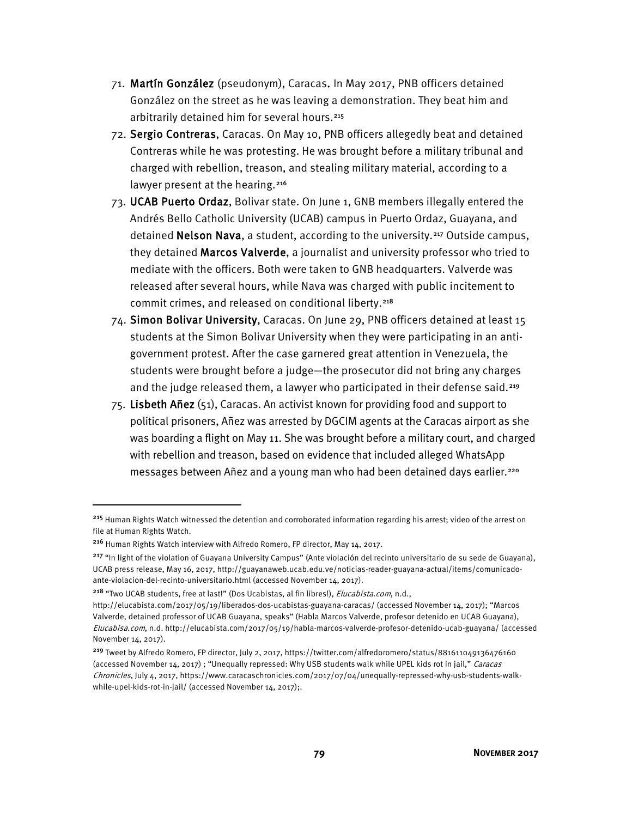- 71. Martín González (pseudonym), Caracas. In May 2017, PNB officers detained González on the street as he was leaving a demonstration. They beat him and arbitrarily detained him for several hours.<sup>[215](#page-14-0)</sup>
- 72. Sergio Contreras, Caracas. On May 10, PNB officers allegedly beat and detained Contreras while he was protesting. He was brought before a military tribunal and charged with rebellion, treason, and stealing military material, according to a lawyer present at the hearing.<sup>[216](#page-14-1)</sup>
- 73. UCAB Puerto Ordaz, Bolivar state. On June 1, GNB members illegally entered the Andrés Bello Catholic University (UCAB) campus in Puerto Ordaz, Guayana, and detained Nelson Nava, a student, according to the university.<sup>[217](#page-14-2)</sup> Outside campus, they detained Marcos Valverde, a journalist and university professor who tried to mediate with the officers. Both were taken to GNB headquarters. Valverde was released after several hours, while Nava was charged with public incitement to commit crimes, and released on conditional liberty.<sup>[218](#page-14-3)</sup>
- 74. Simon Bolivar University, Caracas. On June 29, PNB officers detained at least 15 students at the Simon Bolivar University when they were participating in an antigovernment protest. After the case garnered great attention in Venezuela, the students were brought before a judge—the prosecutor did not bring any charges and the judge released them, a lawyer who participated in their defense said.<sup>[219](#page-14-4)</sup>
- 75. Lisbeth Añez (51), Caracas. An activist known for providing food and support to political prisoners, Añez was arrested by DGCIM agents at the Caracas airport as she was boarding a flight on May 11. She was brought before a military court, and charged with rebellion and treason, based on evidence that included alleged WhatsApp messages between Añez and a young man who had been detained days earlier.[220](#page-14-5)

<span id="page-14-0"></span><sup>&</sup>lt;sup>215</sup> Human Rights Watch witnessed the detention and corroborated information regarding his arrest; video of the arrest on file at Human Rights Watch.

<span id="page-14-1"></span><sup>216</sup> Human Rights Watch interview with Alfredo Romero, FP director, May 14, 2017.

<span id="page-14-2"></span><sup>&</sup>lt;sup>217</sup> "In light of the violation of Guayana University Campus" (Ante violación del recinto universitario de su sede de Guayana), UCAB press release, May 16, 2017, http://guayanaweb.ucab.edu.ve/noticias-reader-guayana-actual/items/comunicadoante-violacion-del-recinto-universitario.html (accessed November 14, 2017).

<span id="page-14-5"></span><span id="page-14-3"></span><sup>&</sup>lt;sup>218</sup> "Two UCAB students, free at last!" (Dos Ucabistas, al fin libres!), *Elucabista.com*, n.d.,

http://elucabista.com/2017/05/19/liberados-dos-ucabistas-guayana-caracas/ (accessed November 14, 2017); "Marcos Valverde, detained professor of UCAB Guayana, speaks" (Habla Marcos Valverde, profesor detenido en UCAB Guayana), Elucabisa.com, n.d. http://elucabista.com/2017/05/19/habla-marcos-valverde-profesor-detenido-ucab-guayana/ (accessed November 14, 2017).

<span id="page-14-4"></span><sup>219</sup> Tweet by Alfredo Romero, FP director, July 2, 2017, https://twitter.com/alfredoromero/status/881611049136476160 (accessed November 14, 2017) ; "Unequally repressed: Why USB students walk while UPEL kids rot in jail," Caracas Chronicles, July 4, 2017, https://www.caracaschronicles.com/2017/07/04/unequally-repressed-why-usb-students-walkwhile-upel-kids-rot-in-jail/ (accessed November 14, 2017);.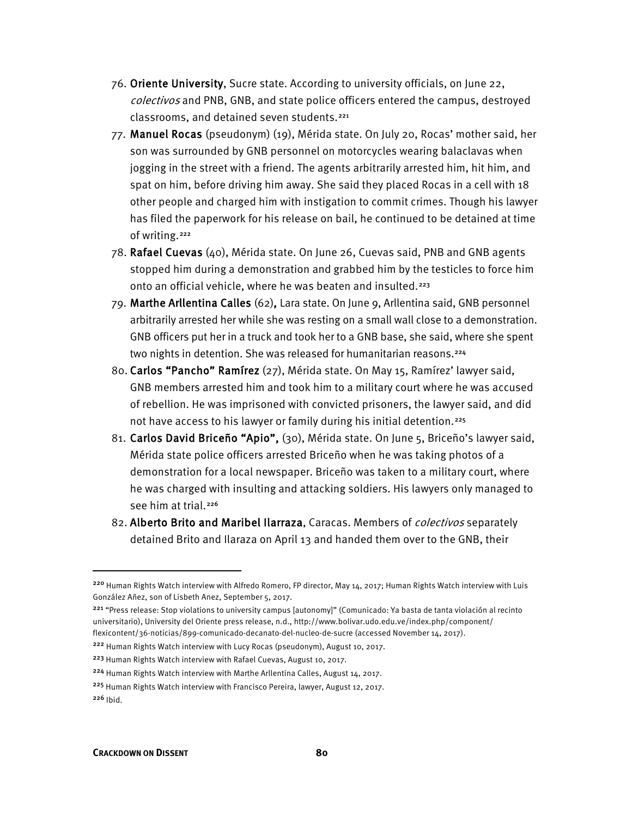- 76. Oriente University, Sucre state. According to university officials, on June 22, colectivos and PNB, GNB, and state police officers entered the campus, destroyed classrooms, and detained seven students.[221](#page-15-0)
- 77. Manuel Rocas (pseudonym) (19), Mérida state. On July 20, Rocas' mother said, her son was surrounded by GNB personnel on motorcycles wearing balaclavas when jogging in the street with a friend. The agents arbitrarily arrested him, hit him, and spat on him, before driving him away. She said they placed Rocas in a cell with 18 other people and charged him with instigation to commit crimes. Though his lawyer has filed the paperwork for his release on bail, he continued to be detained at time of writing.<sup>[222](#page-15-1)</sup>
- 78. Rafael Cuevas (40), Mérida state. On June 26, Cuevas said, PNB and GNB agents stopped him during a demonstration and grabbed him by the testicles to force him onto an official vehicle, where he was beaten and insulted.<sup>[223](#page-15-2)</sup>
- 79. Marthe Arllentina Calles (62), Lara state. On June 9, Arllentina said, GNB personnel arbitrarily arrested her while she was resting on a small wall close to a demonstration. GNB officers put her in a truck and took her to a GNB base, she said, where she spent two nights in detention. She was released for humanitarian reasons.<sup>[224](#page-15-3)</sup>
- 80. Carlos "Pancho" Ramírez (27), Mérida state. On May 15, Ramírez' lawyer said, GNB members arrested him and took him to a military court where he was accused of rebellion. He was imprisoned with convicted prisoners, the lawyer said, and did not have access to his lawyer or family during his initial detention.<sup>[225](#page-15-4)</sup>
- 81. Carlos David Briceño "Apio", (30), Mérida state. On June 5, Briceño's lawyer said, Mérida state police officers arrested Briceño when he was taking photos of a demonstration for a local newspaper. Briceño was taken to a military court, where he was charged with insulting and attacking soldiers. His lawyers only managed to see him at trial.<sup>[226](#page-15-5)</sup>
- 82. Alberto Brito and Maribel Ilarraza, Caracas. Members of *colectivos* separately detained Brito and Ilaraza on April 13 and handed them over to the GNB, their

<sup>&</sup>lt;sup>220</sup> Human Rights Watch interview with Alfredo Romero, FP director, May 14, 2017; Human Rights Watch interview with Luis González Añez, son of Lisbeth Anez, September 5, 2017.

<span id="page-15-0"></span><sup>&</sup>lt;sup>221</sup> "Press release: Stop violations to university campus [autonomy]" (Comunicado: Ya basta de tanta violación al recinto universitario), University del Oriente press release, n.d., http://www.bolivar.udo.edu.ve/index.php/component/ flexicontent/36-noticias/899-comunicado-decanato-del-nucleo-de-sucre (accessed November 14, 2017).

<span id="page-15-1"></span><sup>222</sup> Human Rights Watch interview with Lucy Rocas (pseudonym), August 10, 2017.

<span id="page-15-2"></span><sup>223</sup> Human Rights Watch interview with Rafael Cuevas, August 10, 2017.

<span id="page-15-3"></span><sup>&</sup>lt;sup>224</sup> Human Rights Watch interview with Marthe Arllentina Calles, August 14, 2017.

<span id="page-15-4"></span><sup>225</sup> Human Rights Watch interview with Francisco Pereira, lawyer, August 12, 2017.

<span id="page-15-5"></span><sup>226</sup> Ibid.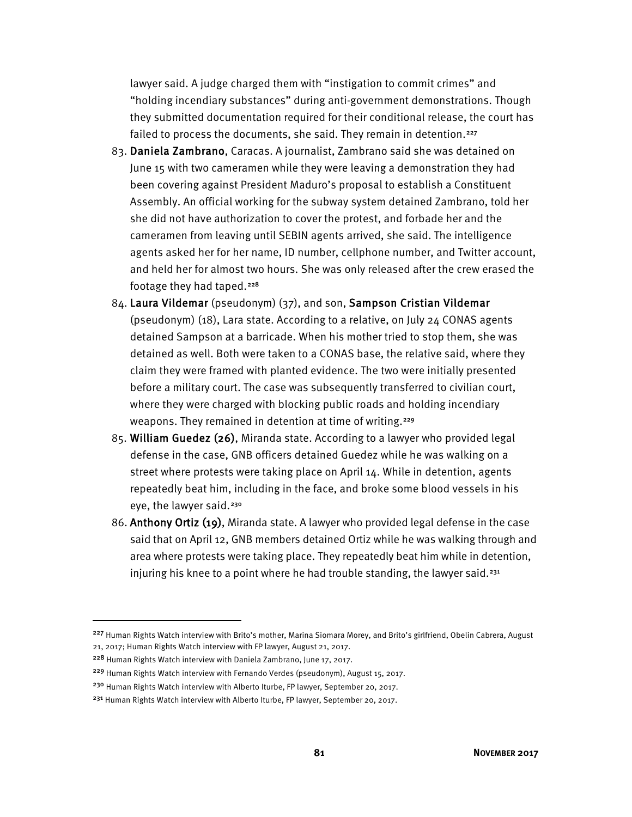lawyer said. A judge charged them with "instigation to commit crimes" and "holding incendiary substances" during anti-government demonstrations. Though they submitted documentation required for their conditional release, the court has failed to process the documents, she said. They remain in detention.<sup>[227](#page-16-0)</sup>

- 83. Daniela Zambrano, Caracas. A journalist, Zambrano said she was detained on June 15 with two cameramen while they were leaving a demonstration they had been covering against President Maduro's proposal to establish a Constituent Assembly. An official working for the subway system detained Zambrano, told her she did not have authorization to cover the protest, and forbade her and the cameramen from leaving until SEBIN agents arrived, she said. The intelligence agents asked her for her name, ID number, cellphone number, and Twitter account, and held her for almost two hours. She was only released after the crew erased the footage they had taped.<sup>[228](#page-16-1)</sup>
- 84. Laura Vildemar (pseudonym) (37), and son, Sampson Cristian Vildemar (pseudonym) (18), Lara state. According to a relative, on July 24 CONAS agents detained Sampson at a barricade. When his mother tried to stop them, she was detained as well. Both were taken to a CONAS base, the relative said, where they claim they were framed with planted evidence. The two were initially presented before a military court. The case was subsequently transferred to civilian court, where they were charged with blocking public roads and holding incendiary weapons. They remained in detention at time of writing.<sup>[229](#page-16-2)</sup>
- 85. William Guedez (26), Miranda state. According to a lawyer who provided legal defense in the case, GNB officers detained Guedez while he was walking on a street where protests were taking place on April 14. While in detention, agents repeatedly beat him, including in the face, and broke some blood vessels in his eye, the lawyer said.<sup>[230](#page-16-3)</sup>
- 86. Anthony Ortiz (19), Miranda state. A lawyer who provided legal defense in the case said that on April 12, GNB members detained Ortiz while he was walking through and area where protests were taking place. They repeatedly beat him while in detention, injuring his knee to a point where he had trouble standing, the lawyer said.<sup>[231](#page-16-4)</sup>

<span id="page-16-0"></span><sup>&</sup>lt;sup>227</sup> Human Rights Watch interview with Brito's mother, Marina Siomara Morey, and Brito's girlfriend, Obelin Cabrera, August 21, 2017; Human Rights Watch interview with FP lawyer, August 21, 2017.

<span id="page-16-1"></span><sup>228</sup> Human Rights Watch interview with Daniela Zambrano, June 17, 2017.

<span id="page-16-2"></span><sup>229</sup> Human Rights Watch interview with Fernando Verdes (pseudonym), August 15, 2017.

<span id="page-16-3"></span><sup>&</sup>lt;sup>230</sup> Human Rights Watch interview with Alberto Iturbe, FP lawyer, September 20, 2017.

<span id="page-16-4"></span><sup>&</sup>lt;sup>231</sup> Human Rights Watch interview with Alberto Iturbe, FP lawyer, September 20, 2017.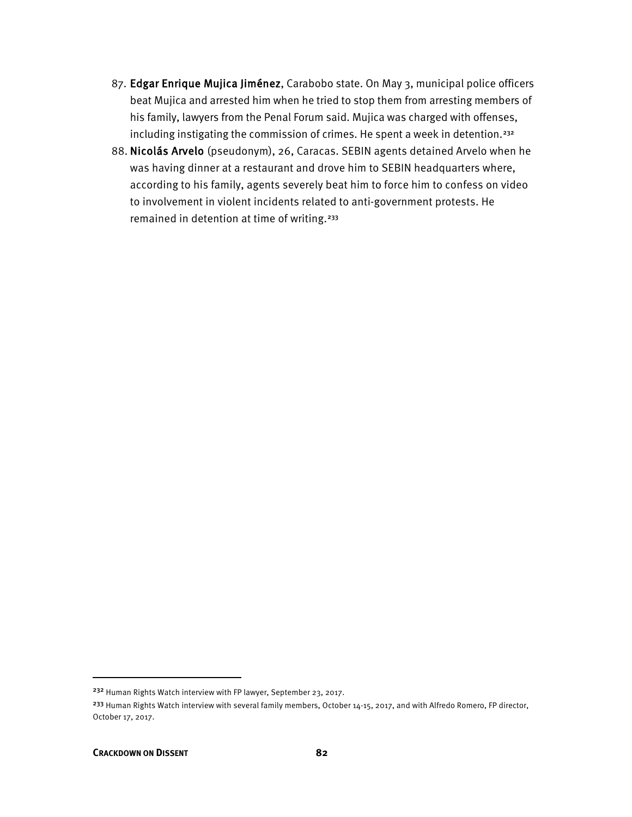- 87. Edgar Enrique Mujica Jiménez, Carabobo state. On May 3, municipal police officers beat Mujica and arrested him when he tried to stop them from arresting members of his family, lawyers from the Penal Forum said. Mujica was charged with offenses, including instigating the commission of crimes. He spent a week in detention.<sup>[232](#page-17-0)</sup>
- 88. Nicolás Arvelo (pseudonym), 26, Caracas. SEBIN agents detained Arvelo when he was having dinner at a restaurant and drove him to SEBIN headquarters where, according to his family, agents severely beat him to force him to confess on video to involvement in violent incidents related to anti-government protests. He remained in detention at time of writing.<sup>[233](#page-17-1)</sup>

<span id="page-17-0"></span><sup>232</sup> Human Rights Watch interview with FP lawyer, September 23, 2017.

<span id="page-17-1"></span><sup>&</sup>lt;sup>233</sup> Human Rights Watch interview with several family members, October 14-15, 2017, and with Alfredo Romero, FP director, October 17, 2017.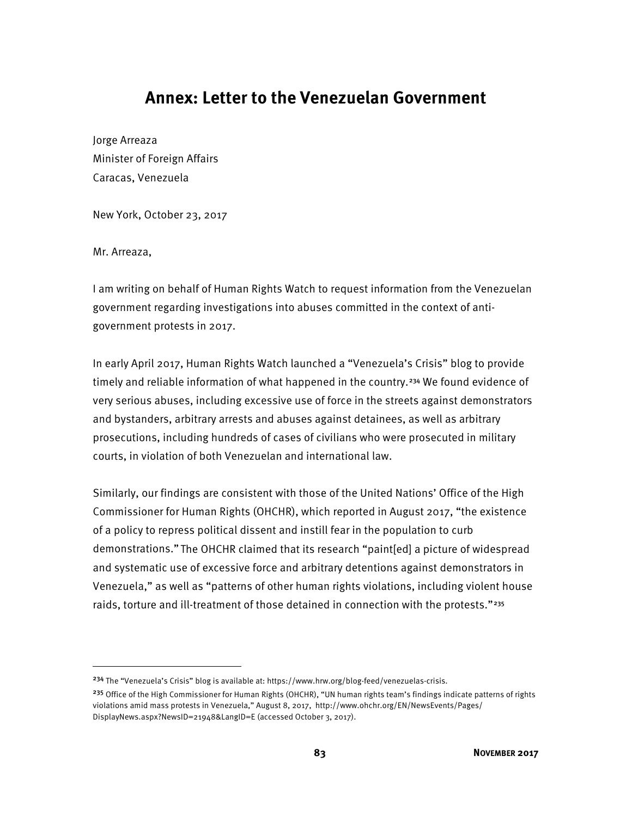## **Annex: Letter to the Venezuelan Government**

Jorge Arreaza Minister of Foreign Affairs Caracas, Venezuela

New York, October 23, 2017

Mr. Arreaza,

 $\overline{\phantom{a}}$ 

I am writing on behalf of Human Rights Watch to request information from the Venezuelan government regarding investigations into abuses committed in the context of antigovernment protests in 2017.

In early April 2017, Human Rights Watch launched a "Venezuela's Crisis" blog to provide timely and reliable information of what happened in the country.<sup>[234](#page-18-0)</sup> We found evidence of very serious abuses, including excessive use of force in the streets against demonstrators and bystanders, arbitrary arrests and abuses against detainees, as well as arbitrary prosecutions, including hundreds of cases of civilians who were prosecuted in military courts, in violation of both Venezuelan and international law.

Similarly, our findings are consistent with those of the United Nations' Office of the High Commissioner for Human Rights (OHCHR), which reported in August 2017, "the existence of a policy to repress political dissent and instill fear in the population to curb demonstrations." The OHCHR claimed that its research "paint[ed] a picture of widespread and systematic use of excessive force and arbitrary detentions against demonstrators in Venezuela," as well as "patterns of other human rights violations, including violent house raids, torture and ill-treatment of those detained in connection with the protests."[235](#page-18-1)

<span id="page-18-0"></span><sup>&</sup>lt;sup>234</sup> The "Venezuela's Crisis" blog is available at: https://www.hrw.org/blog-feed/venezuelas-crisis.

<span id="page-18-1"></span><sup>&</sup>lt;sup>235</sup> Office of the High Commissioner for Human Rights (OHCHR), "UN human rights team's findings indicate patterns of rights violations amid mass protests in Venezuela," August 8, 2017, http://www.ohchr.org/EN/NewsEvents/Pages/ DisplayNews.aspx?NewsID=21948&LangID=E (accessed October 3, 2017).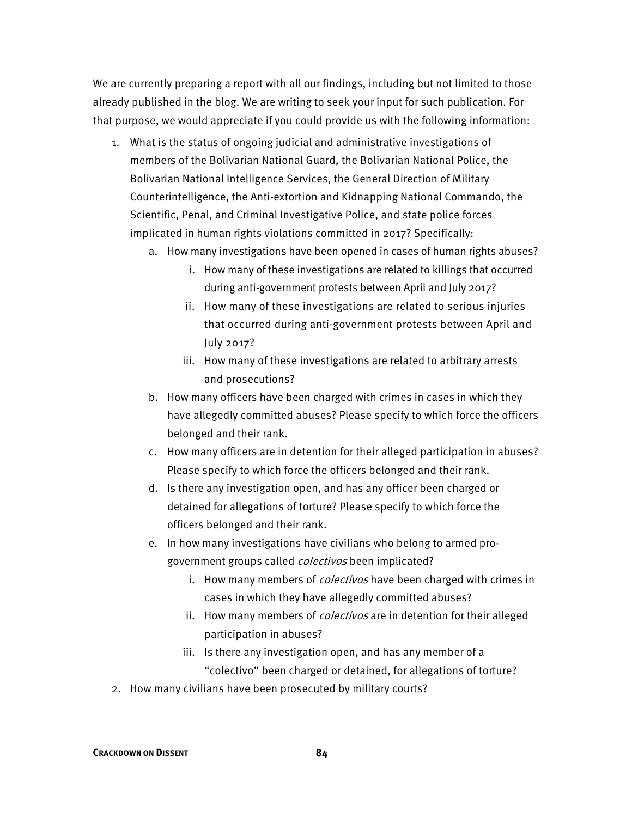We are currently preparing a report with all our findings, including but not limited to those already published in the blog. We are writing to seek your input for such publication. For that purpose, we would appreciate if you could provide us with the following information:

- 1. What is the status of ongoing judicial and administrative investigations of members of the Bolivarian National Guard, the Bolivarian National Police, the Bolivarian National Intelligence Services, the General Direction of Military Counterintelligence, the Anti-extortion and Kidnapping National Commando, the Scientific, Penal, and Criminal Investigative Police, and state police forces implicated in human rights violations committed in 2017? Specifically:
	- a. How many investigations have been opened in cases of human rights abuses?
		- i. How many of these investigations are related to killings that occurred during anti-government protests between April and July 2017?
		- ii. How many of these investigations are related to serious injuries that occurred during anti-government protests between April and July 2017?
		- iii. How many of these investigations are related to arbitrary arrests and prosecutions?
	- b. How many officers have been charged with crimes in cases in which they have allegedly committed abuses? Please specify to which force the officers belonged and their rank.
	- c. How many officers are in detention for their alleged participation in abuses? Please specify to which force the officers belonged and their rank.
	- d. Is there any investigation open, and has any officer been charged or detained for allegations of torture? Please specify to which force the officers belonged and their rank.
	- e. In how many investigations have civilians who belong to armed progovernment groups called colectivos been implicated?
		- i. How many members of *colectivos* have been charged with crimes in cases in which they have allegedly committed abuses?
		- ii. How many members of *colectivos* are in detention for their alleged participation in abuses?
		- iii. Is there any investigation open, and has any member of a "colectivo" been charged or detained, for allegations of torture?
- 2. How many civilians have been prosecuted by military courts?